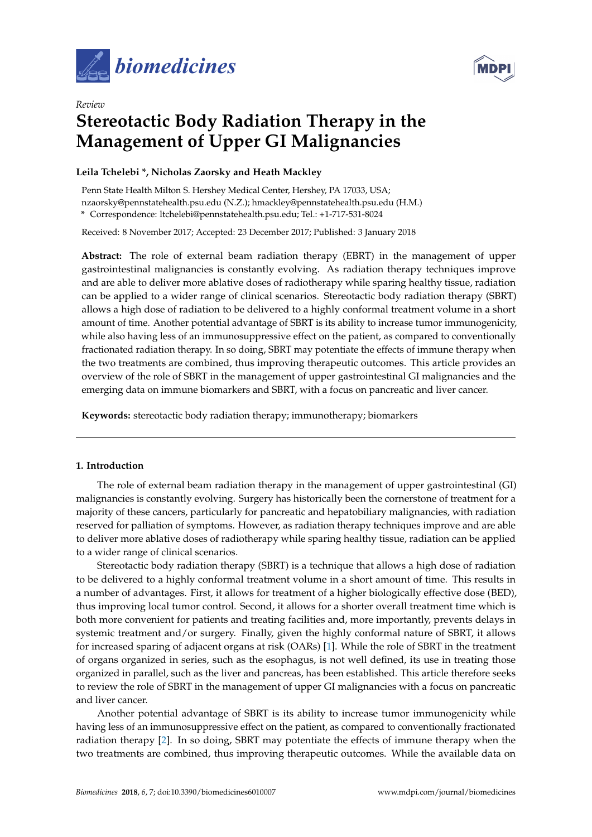



# *Review* **Stereotactic Body Radiation Therapy in the Management of Upper GI Malignancies**

# **Leila Tchelebi \*, Nicholas Zaorsky and Heath Mackley**

Penn State Health Milton S. Hershey Medical Center, Hershey, PA 17033, USA; nzaorsky@pennstatehealth.psu.edu (N.Z.); hmackley@pennstatehealth.psu.edu (H.M.) **\*** Correspondence: ltchelebi@pennstatehealth.psu.edu; Tel.: +1-717-531-8024

Received: 8 November 2017; Accepted: 23 December 2017; Published: 3 January 2018

**Abstract:** The role of external beam radiation therapy (EBRT) in the management of upper gastrointestinal malignancies is constantly evolving. As radiation therapy techniques improve and are able to deliver more ablative doses of radiotherapy while sparing healthy tissue, radiation can be applied to a wider range of clinical scenarios. Stereotactic body radiation therapy (SBRT) allows a high dose of radiation to be delivered to a highly conformal treatment volume in a short amount of time. Another potential advantage of SBRT is its ability to increase tumor immunogenicity, while also having less of an immunosuppressive effect on the patient, as compared to conventionally fractionated radiation therapy. In so doing, SBRT may potentiate the effects of immune therapy when the two treatments are combined, thus improving therapeutic outcomes. This article provides an overview of the role of SBRT in the management of upper gastrointestinal GI malignancies and the emerging data on immune biomarkers and SBRT, with a focus on pancreatic and liver cancer.

**Keywords:** stereotactic body radiation therapy; immunotherapy; biomarkers

## **1. Introduction**

The role of external beam radiation therapy in the management of upper gastrointestinal (GI) malignancies is constantly evolving. Surgery has historically been the cornerstone of treatment for a majority of these cancers, particularly for pancreatic and hepatobiliary malignancies, with radiation reserved for palliation of symptoms. However, as radiation therapy techniques improve and are able to deliver more ablative doses of radiotherapy while sparing healthy tissue, radiation can be applied to a wider range of clinical scenarios.

Stereotactic body radiation therapy (SBRT) is a technique that allows a high dose of radiation to be delivered to a highly conformal treatment volume in a short amount of time. This results in a number of advantages. First, it allows for treatment of a higher biologically effective dose (BED), thus improving local tumor control. Second, it allows for a shorter overall treatment time which is both more convenient for patients and treating facilities and, more importantly, prevents delays in systemic treatment and/or surgery. Finally, given the highly conformal nature of SBRT, it allows for increased sparing of adjacent organs at risk (OARs) [\[1\]](#page-5-0). While the role of SBRT in the treatment of organs organized in series, such as the esophagus, is not well defined, its use in treating those organized in parallel, such as the liver and pancreas, has been established. This article therefore seeks to review the role of SBRT in the management of upper GI malignancies with a focus on pancreatic and liver cancer.

Another potential advantage of SBRT is its ability to increase tumor immunogenicity while having less of an immunosuppressive effect on the patient, as compared to conventionally fractionated radiation therapy [\[2\]](#page-5-1). In so doing, SBRT may potentiate the effects of immune therapy when the two treatments are combined, thus improving therapeutic outcomes. While the available data on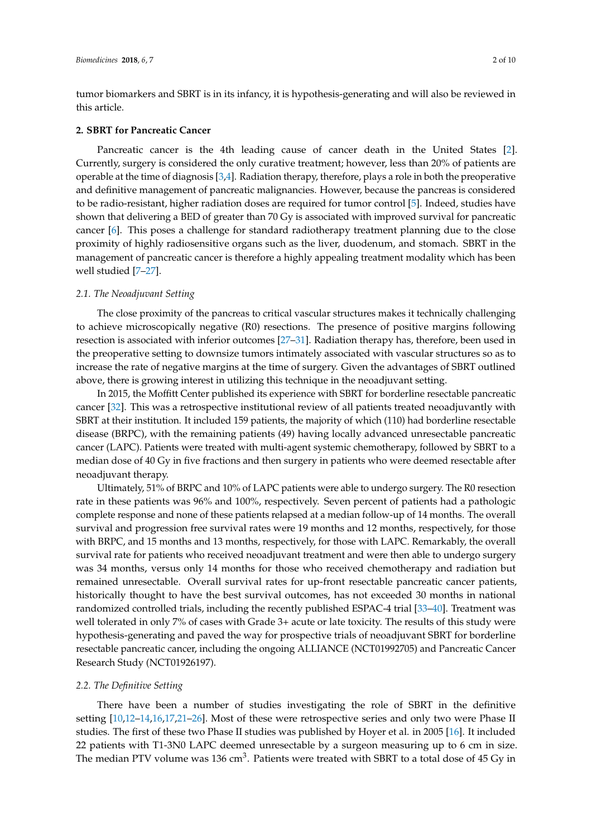tumor biomarkers and SBRT is in its infancy, it is hypothesis-generating and will also be reviewed in this article.

#### **2. SBRT for Pancreatic Cancer**

Pancreatic cancer is the 4th leading cause of cancer death in the United States [\[2\]](#page-5-1). Currently, surgery is considered the only curative treatment; however, less than 20% of patients are operable at the time of diagnosis [\[3](#page-5-2)[,4\]](#page-5-3). Radiation therapy, therefore, plays a role in both the preoperative and definitive management of pancreatic malignancies. However, because the pancreas is considered to be radio-resistant, higher radiation doses are required for tumor control [\[5\]](#page-5-4). Indeed, studies have shown that delivering a BED of greater than 70 Gy is associated with improved survival for pancreatic cancer [\[6\]](#page-5-5). This poses a challenge for standard radiotherapy treatment planning due to the close proximity of highly radiosensitive organs such as the liver, duodenum, and stomach. SBRT in the management of pancreatic cancer is therefore a highly appealing treatment modality which has been well studied [\[7–](#page-5-6)[27\]](#page-7-0).

#### *2.1. The Neoadjuvant Setting*

The close proximity of the pancreas to critical vascular structures makes it technically challenging to achieve microscopically negative (R0) resections. The presence of positive margins following resection is associated with inferior outcomes [\[27](#page-7-0)[–31\]](#page-7-1). Radiation therapy has, therefore, been used in the preoperative setting to downsize tumors intimately associated with vascular structures so as to increase the rate of negative margins at the time of surgery. Given the advantages of SBRT outlined above, there is growing interest in utilizing this technique in the neoadjuvant setting.

In 2015, the Moffitt Center published its experience with SBRT for borderline resectable pancreatic cancer [\[32\]](#page-7-2). This was a retrospective institutional review of all patients treated neoadjuvantly with SBRT at their institution. It included 159 patients, the majority of which (110) had borderline resectable disease (BRPC), with the remaining patients (49) having locally advanced unresectable pancreatic cancer (LAPC). Patients were treated with multi-agent systemic chemotherapy, followed by SBRT to a median dose of 40 Gy in five fractions and then surgery in patients who were deemed resectable after neoadjuvant therapy.

Ultimately, 51% of BRPC and 10% of LAPC patients were able to undergo surgery. The R0 resection rate in these patients was 96% and 100%, respectively. Seven percent of patients had a pathologic complete response and none of these patients relapsed at a median follow-up of 14 months. The overall survival and progression free survival rates were 19 months and 12 months, respectively, for those with BRPC, and 15 months and 13 months, respectively, for those with LAPC. Remarkably, the overall survival rate for patients who received neoadjuvant treatment and were then able to undergo surgery was 34 months, versus only 14 months for those who received chemotherapy and radiation but remained unresectable. Overall survival rates for up-front resectable pancreatic cancer patients, historically thought to have the best survival outcomes, has not exceeded 30 months in national randomized controlled trials, including the recently published ESPAC-4 trial [\[33–](#page-7-3)[40\]](#page-8-0). Treatment was well tolerated in only 7% of cases with Grade 3+ acute or late toxicity. The results of this study were hypothesis-generating and paved the way for prospective trials of neoadjuvant SBRT for borderline resectable pancreatic cancer, including the ongoing ALLIANCE (NCT01992705) and Pancreatic Cancer Research Study (NCT01926197).

#### *2.2. The Definitive Setting*

There have been a number of studies investigating the role of SBRT in the definitive setting [\[10](#page-6-0)[,12–](#page-6-1)[14](#page-6-2)[,16](#page-6-3)[,17,](#page-6-4)[21](#page-6-5)[–26\]](#page-7-4). Most of these were retrospective series and only two were Phase II studies. The first of these two Phase II studies was published by Hoyer et al. in 2005 [\[16\]](#page-6-3). It included 22 patients with T1-3N0 LAPC deemed unresectable by a surgeon measuring up to 6 cm in size. The median PTV volume was 136 cm $^3$ . Patients were treated with SBRT to a total dose of 45 Gy in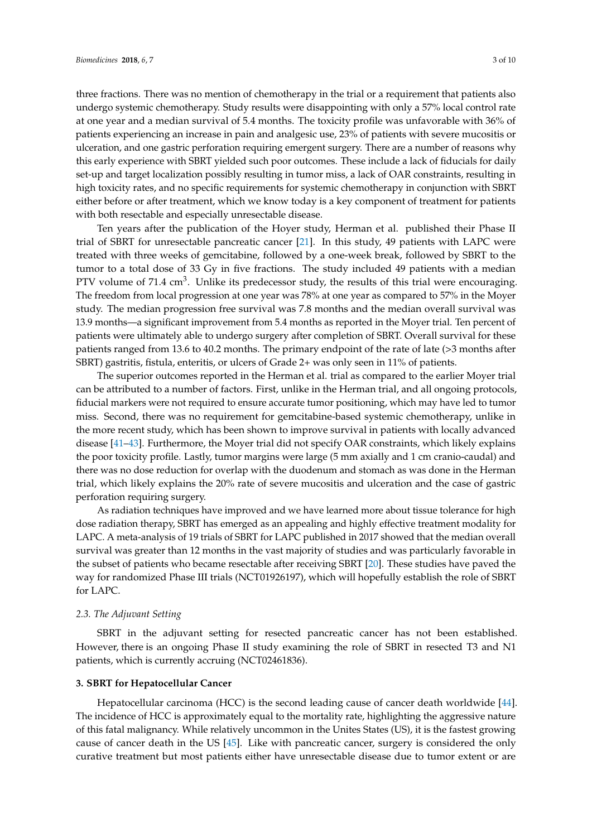three fractions. There was no mention of chemotherapy in the trial or a requirement that patients also undergo systemic chemotherapy. Study results were disappointing with only a 57% local control rate at one year and a median survival of 5.4 months. The toxicity profile was unfavorable with 36% of patients experiencing an increase in pain and analgesic use, 23% of patients with severe mucositis or ulceration, and one gastric perforation requiring emergent surgery. There are a number of reasons why this early experience with SBRT yielded such poor outcomes. These include a lack of fiducials for daily set-up and target localization possibly resulting in tumor miss, a lack of OAR constraints, resulting in high toxicity rates, and no specific requirements for systemic chemotherapy in conjunction with SBRT either before or after treatment, which we know today is a key component of treatment for patients with both resectable and especially unresectable disease.

Ten years after the publication of the Hoyer study, Herman et al. published their Phase II trial of SBRT for unresectable pancreatic cancer [\[21\]](#page-6-5). In this study, 49 patients with LAPC were treated with three weeks of gemcitabine, followed by a one-week break, followed by SBRT to the tumor to a total dose of 33 Gy in five fractions. The study included 49 patients with a median PTV volume of 71.4  $\text{cm}^3$ . Unlike its predecessor study, the results of this trial were encouraging. The freedom from local progression at one year was 78% at one year as compared to 57% in the Moyer study. The median progression free survival was 7.8 months and the median overall survival was 13.9 months—a significant improvement from 5.4 months as reported in the Moyer trial. Ten percent of patients were ultimately able to undergo surgery after completion of SBRT. Overall survival for these patients ranged from 13.6 to 40.2 months. The primary endpoint of the rate of late (>3 months after SBRT) gastritis, fistula, enteritis, or ulcers of Grade 2+ was only seen in 11% of patients.

The superior outcomes reported in the Herman et al. trial as compared to the earlier Moyer trial can be attributed to a number of factors. First, unlike in the Herman trial, and all ongoing protocols, fiducial markers were not required to ensure accurate tumor positioning, which may have led to tumor miss. Second, there was no requirement for gemcitabine-based systemic chemotherapy, unlike in the more recent study, which has been shown to improve survival in patients with locally advanced disease [\[41](#page-8-1)[–43\]](#page-8-2). Furthermore, the Moyer trial did not specify OAR constraints, which likely explains the poor toxicity profile. Lastly, tumor margins were large (5 mm axially and 1 cm cranio-caudal) and there was no dose reduction for overlap with the duodenum and stomach as was done in the Herman trial, which likely explains the 20% rate of severe mucositis and ulceration and the case of gastric perforation requiring surgery.

As radiation techniques have improved and we have learned more about tissue tolerance for high dose radiation therapy, SBRT has emerged as an appealing and highly effective treatment modality for LAPC. A meta-analysis of 19 trials of SBRT for LAPC published in 2017 showed that the median overall survival was greater than 12 months in the vast majority of studies and was particularly favorable in the subset of patients who became resectable after receiving SBRT [\[20\]](#page-6-6). These studies have paved the way for randomized Phase III trials (NCT01926197), which will hopefully establish the role of SBRT for LAPC.

#### *2.3. The Adjuvant Setting*

SBRT in the adjuvant setting for resected pancreatic cancer has not been established. However, there is an ongoing Phase II study examining the role of SBRT in resected T3 and N1 patients, which is currently accruing (NCT02461836).

## **3. SBRT for Hepatocellular Cancer**

Hepatocellular carcinoma (HCC) is the second leading cause of cancer death worldwide [\[44\]](#page-8-3). The incidence of HCC is approximately equal to the mortality rate, highlighting the aggressive nature of this fatal malignancy. While relatively uncommon in the Unites States (US), it is the fastest growing cause of cancer death in the US [\[45\]](#page-8-4). Like with pancreatic cancer, surgery is considered the only curative treatment but most patients either have unresectable disease due to tumor extent or are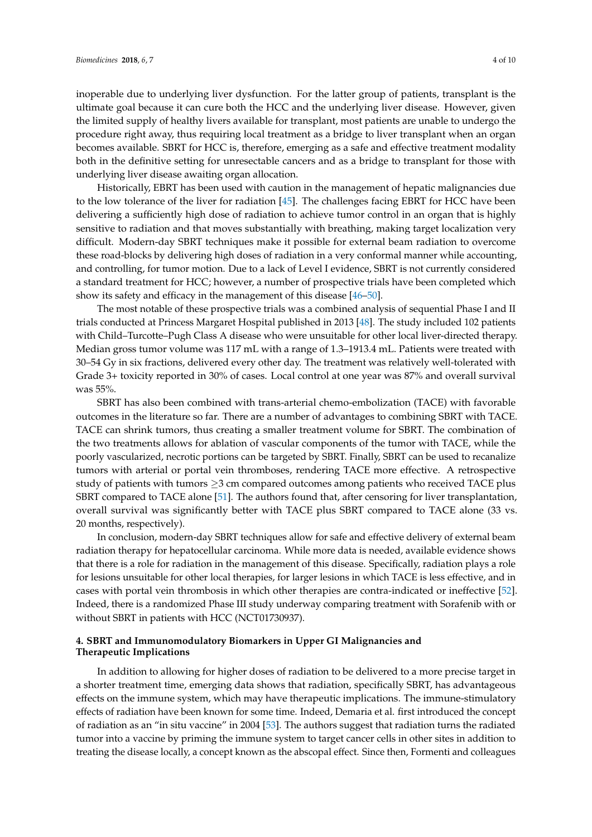inoperable due to underlying liver dysfunction. For the latter group of patients, transplant is the ultimate goal because it can cure both the HCC and the underlying liver disease. However, given the limited supply of healthy livers available for transplant, most patients are unable to undergo the procedure right away, thus requiring local treatment as a bridge to liver transplant when an organ becomes available. SBRT for HCC is, therefore, emerging as a safe and effective treatment modality both in the definitive setting for unresectable cancers and as a bridge to transplant for those with underlying liver disease awaiting organ allocation.

Historically, EBRT has been used with caution in the management of hepatic malignancies due to the low tolerance of the liver for radiation [\[45\]](#page-8-4). The challenges facing EBRT for HCC have been delivering a sufficiently high dose of radiation to achieve tumor control in an organ that is highly sensitive to radiation and that moves substantially with breathing, making target localization very difficult. Modern-day SBRT techniques make it possible for external beam radiation to overcome these road-blocks by delivering high doses of radiation in a very conformal manner while accounting, and controlling, for tumor motion. Due to a lack of Level I evidence, SBRT is not currently considered a standard treatment for HCC; however, a number of prospective trials have been completed which show its safety and efficacy in the management of this disease [\[46](#page-8-5)[–50\]](#page-8-6).

The most notable of these prospective trials was a combined analysis of sequential Phase I and II trials conducted at Princess Margaret Hospital published in 2013 [\[48\]](#page-8-7). The study included 102 patients with Child–Turcotte–Pugh Class A disease who were unsuitable for other local liver-directed therapy. Median gross tumor volume was 117 mL with a range of 1.3–1913.4 mL. Patients were treated with 30–54 Gy in six fractions, delivered every other day. The treatment was relatively well-tolerated with Grade 3+ toxicity reported in 30% of cases. Local control at one year was 87% and overall survival was 55%.

SBRT has also been combined with trans-arterial chemo-embolization (TACE) with favorable outcomes in the literature so far. There are a number of advantages to combining SBRT with TACE. TACE can shrink tumors, thus creating a smaller treatment volume for SBRT. The combination of the two treatments allows for ablation of vascular components of the tumor with TACE, while the poorly vascularized, necrotic portions can be targeted by SBRT. Finally, SBRT can be used to recanalize tumors with arterial or portal vein thromboses, rendering TACE more effective. A retrospective study of patients with tumors  $\geq$ 3 cm compared outcomes among patients who received TACE plus SBRT compared to TACE alone [\[51\]](#page-8-8). The authors found that, after censoring for liver transplantation, overall survival was significantly better with TACE plus SBRT compared to TACE alone (33 vs. 20 months, respectively).

In conclusion, modern-day SBRT techniques allow for safe and effective delivery of external beam radiation therapy for hepatocellular carcinoma. While more data is needed, available evidence shows that there is a role for radiation in the management of this disease. Specifically, radiation plays a role for lesions unsuitable for other local therapies, for larger lesions in which TACE is less effective, and in cases with portal vein thrombosis in which other therapies are contra-indicated or ineffective [\[52\]](#page-8-9). Indeed, there is a randomized Phase III study underway comparing treatment with Sorafenib with or without SBRT in patients with HCC (NCT01730937).

## **4. SBRT and Immunomodulatory Biomarkers in Upper GI Malignancies and Therapeutic Implications**

In addition to allowing for higher doses of radiation to be delivered to a more precise target in a shorter treatment time, emerging data shows that radiation, specifically SBRT, has advantageous effects on the immune system, which may have therapeutic implications. The immune-stimulatory effects of radiation have been known for some time. Indeed, Demaria et al. first introduced the concept of radiation as an "in situ vaccine" in 2004 [\[53\]](#page-8-10). The authors suggest that radiation turns the radiated tumor into a vaccine by priming the immune system to target cancer cells in other sites in addition to treating the disease locally, a concept known as the abscopal effect. Since then, Formenti and colleagues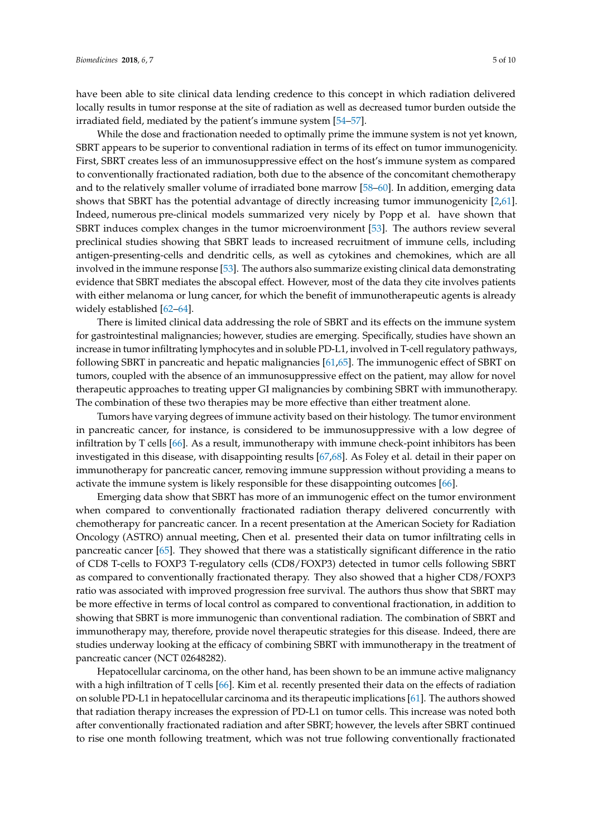have been able to site clinical data lending credence to this concept in which radiation delivered locally results in tumor response at the site of radiation as well as decreased tumor burden outside the irradiated field, mediated by the patient's immune system [\[54](#page-8-11)[–57\]](#page-9-0).

While the dose and fractionation needed to optimally prime the immune system is not yet known, SBRT appears to be superior to conventional radiation in terms of its effect on tumor immunogenicity. First, SBRT creates less of an immunosuppressive effect on the host's immune system as compared to conventionally fractionated radiation, both due to the absence of the concomitant chemotherapy and to the relatively smaller volume of irradiated bone marrow [\[58](#page-9-1)[–60\]](#page-9-2). In addition, emerging data shows that SBRT has the potential advantage of directly increasing tumor immunogenicity [\[2,](#page-5-1)[61\]](#page-9-3). Indeed, numerous pre-clinical models summarized very nicely by Popp et al. have shown that SBRT induces complex changes in the tumor microenvironment [\[53\]](#page-8-10). The authors review several preclinical studies showing that SBRT leads to increased recruitment of immune cells, including antigen-presenting-cells and dendritic cells, as well as cytokines and chemokines, which are all involved in the immune response [\[53\]](#page-8-10). The authors also summarize existing clinical data demonstrating evidence that SBRT mediates the abscopal effect. However, most of the data they cite involves patients with either melanoma or lung cancer, for which the benefit of immunotherapeutic agents is already widely established [\[62](#page-9-4)[–64\]](#page-9-5).

There is limited clinical data addressing the role of SBRT and its effects on the immune system for gastrointestinal malignancies; however, studies are emerging. Specifically, studies have shown an increase in tumor infiltrating lymphocytes and in soluble PD-L1, involved in T-cell regulatory pathways, following SBRT in pancreatic and hepatic malignancies [\[61,](#page-9-3)[65\]](#page-9-6). The immunogenic effect of SBRT on tumors, coupled with the absence of an immunosuppressive effect on the patient, may allow for novel therapeutic approaches to treating upper GI malignancies by combining SBRT with immunotherapy. The combination of these two therapies may be more effective than either treatment alone.

Tumors have varying degrees of immune activity based on their histology. The tumor environment in pancreatic cancer, for instance, is considered to be immunosuppressive with a low degree of infiltration by T cells [\[66\]](#page-9-7). As a result, immunotherapy with immune check-point inhibitors has been investigated in this disease, with disappointing results [\[67](#page-9-8)[,68\]](#page-9-9). As Foley et al. detail in their paper on immunotherapy for pancreatic cancer, removing immune suppression without providing a means to activate the immune system is likely responsible for these disappointing outcomes [\[66\]](#page-9-7).

Emerging data show that SBRT has more of an immunogenic effect on the tumor environment when compared to conventionally fractionated radiation therapy delivered concurrently with chemotherapy for pancreatic cancer. In a recent presentation at the American Society for Radiation Oncology (ASTRO) annual meeting, Chen et al. presented their data on tumor infiltrating cells in pancreatic cancer [\[65\]](#page-9-6). They showed that there was a statistically significant difference in the ratio of CD8 T-cells to FOXP3 T-regulatory cells (CD8/FOXP3) detected in tumor cells following SBRT as compared to conventionally fractionated therapy. They also showed that a higher CD8/FOXP3 ratio was associated with improved progression free survival. The authors thus show that SBRT may be more effective in terms of local control as compared to conventional fractionation, in addition to showing that SBRT is more immunogenic than conventional radiation. The combination of SBRT and immunotherapy may, therefore, provide novel therapeutic strategies for this disease. Indeed, there are studies underway looking at the efficacy of combining SBRT with immunotherapy in the treatment of pancreatic cancer (NCT 02648282).

Hepatocellular carcinoma, on the other hand, has been shown to be an immune active malignancy with a high infiltration of T cells [\[66\]](#page-9-7). Kim et al. recently presented their data on the effects of radiation on soluble PD-L1 in hepatocellular carcinoma and its therapeutic implications [\[61\]](#page-9-3). The authors showed that radiation therapy increases the expression of PD-L1 on tumor cells. This increase was noted both after conventionally fractionated radiation and after SBRT; however, the levels after SBRT continued to rise one month following treatment, which was not true following conventionally fractionated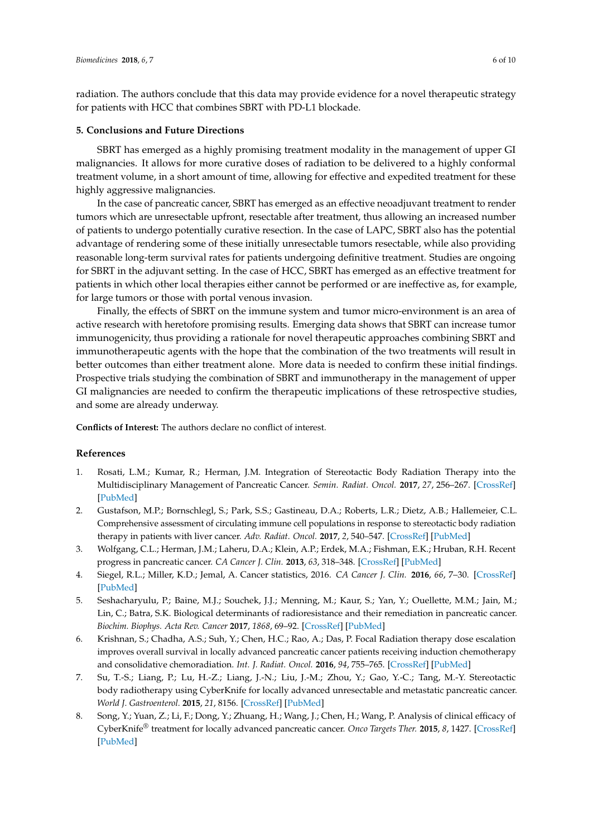radiation. The authors conclude that this data may provide evidence for a novel therapeutic strategy for patients with HCC that combines SBRT with PD-L1 blockade.

#### **5. Conclusions and Future Directions**

SBRT has emerged as a highly promising treatment modality in the management of upper GI malignancies. It allows for more curative doses of radiation to be delivered to a highly conformal treatment volume, in a short amount of time, allowing for effective and expedited treatment for these highly aggressive malignancies.

In the case of pancreatic cancer, SBRT has emerged as an effective neoadjuvant treatment to render tumors which are unresectable upfront, resectable after treatment, thus allowing an increased number of patients to undergo potentially curative resection. In the case of LAPC, SBRT also has the potential advantage of rendering some of these initially unresectable tumors resectable, while also providing reasonable long-term survival rates for patients undergoing definitive treatment. Studies are ongoing for SBRT in the adjuvant setting. In the case of HCC, SBRT has emerged as an effective treatment for patients in which other local therapies either cannot be performed or are ineffective as, for example, for large tumors or those with portal venous invasion.

Finally, the effects of SBRT on the immune system and tumor micro-environment is an area of active research with heretofore promising results. Emerging data shows that SBRT can increase tumor immunogenicity, thus providing a rationale for novel therapeutic approaches combining SBRT and immunotherapeutic agents with the hope that the combination of the two treatments will result in better outcomes than either treatment alone. More data is needed to confirm these initial findings. Prospective trials studying the combination of SBRT and immunotherapy in the management of upper GI malignancies are needed to confirm the therapeutic implications of these retrospective studies, and some are already underway.

**Conflicts of Interest:** The authors declare no conflict of interest.

## **References**

- <span id="page-5-0"></span>1. Rosati, L.M.; Kumar, R.; Herman, J.M. Integration of Stereotactic Body Radiation Therapy into the Multidisciplinary Management of Pancreatic Cancer. *Semin. Radiat. Oncol.* **2017**, *27*, 256–267. [\[CrossRef\]](http://dx.doi.org/10.1016/j.semradonc.2017.02.005) [\[PubMed\]](http://www.ncbi.nlm.nih.gov/pubmed/28577833)
- <span id="page-5-1"></span>2. Gustafson, M.P.; Bornschlegl, S.; Park, S.S.; Gastineau, D.A.; Roberts, L.R.; Dietz, A.B.; Hallemeier, C.L. Comprehensive assessment of circulating immune cell populations in response to stereotactic body radiation therapy in patients with liver cancer. *Adv. Radiat. Oncol.* **2017**, *2*, 540–547. [\[CrossRef\]](http://dx.doi.org/10.1016/j.adro.2017.08.003) [\[PubMed\]](http://www.ncbi.nlm.nih.gov/pubmed/29204520)
- <span id="page-5-2"></span>3. Wolfgang, C.L.; Herman, J.M.; Laheru, D.A.; Klein, A.P.; Erdek, M.A.; Fishman, E.K.; Hruban, R.H. Recent progress in pancreatic cancer. *CA Cancer J. Clin.* **2013**, *63*, 318–348. [\[CrossRef\]](http://dx.doi.org/10.3322/caac.21190) [\[PubMed\]](http://www.ncbi.nlm.nih.gov/pubmed/23856911)
- <span id="page-5-3"></span>4. Siegel, R.L.; Miller, K.D.; Jemal, A. Cancer statistics, 2016. *CA Cancer J. Clin.* **2016**, *66*, 7–30. [\[CrossRef\]](http://dx.doi.org/10.3322/caac.21332) [\[PubMed\]](http://www.ncbi.nlm.nih.gov/pubmed/26742998)
- <span id="page-5-4"></span>5. Seshacharyulu, P.; Baine, M.J.; Souchek, J.J.; Menning, M.; Kaur, S.; Yan, Y.; Ouellette, M.M.; Jain, M.; Lin, C.; Batra, S.K. Biological determinants of radioresistance and their remediation in pancreatic cancer. *Biochim. Biophys. Acta Rev. Cancer* **2017**, *1868*, 69–92. [\[CrossRef\]](http://dx.doi.org/10.1016/j.bbcan.2017.02.003) [\[PubMed\]](http://www.ncbi.nlm.nih.gov/pubmed/28249796)
- <span id="page-5-5"></span>6. Krishnan, S.; Chadha, A.S.; Suh, Y.; Chen, H.C.; Rao, A.; Das, P. Focal Radiation therapy dose escalation improves overall survival in locally advanced pancreatic cancer patients receiving induction chemotherapy and consolidative chemoradiation. *Int. J. Radiat. Oncol.* **2016**, *94*, 755–765. [\[CrossRef\]](http://dx.doi.org/10.1016/j.ijrobp.2015.12.003) [\[PubMed\]](http://www.ncbi.nlm.nih.gov/pubmed/26972648)
- <span id="page-5-6"></span>7. Su, T.-S.; Liang, P.; Lu, H.-Z.; Liang, J.-N.; Liu, J.-M.; Zhou, Y.; Gao, Y.-C.; Tang, M.-Y. Stereotactic body radiotherapy using CyberKnife for locally advanced unresectable and metastatic pancreatic cancer. *World J. Gastroenterol.* **2015**, *21*, 8156. [\[CrossRef\]](http://dx.doi.org/10.3748/wjg.v21.i26.8156) [\[PubMed\]](http://www.ncbi.nlm.nih.gov/pubmed/26185389)
- 8. Song, Y.; Yuan, Z.; Li, F.; Dong, Y.; Zhuang, H.; Wang, J.; Chen, H.; Wang, P. Analysis of clinical efficacy of CyberKnife® treatment for locally advanced pancreatic cancer. *Onco Targets Ther.* **2015**, *8*, 1427. [\[CrossRef\]](http://dx.doi.org/10.2147/OTT.S81939) [\[PubMed\]](http://www.ncbi.nlm.nih.gov/pubmed/26109866)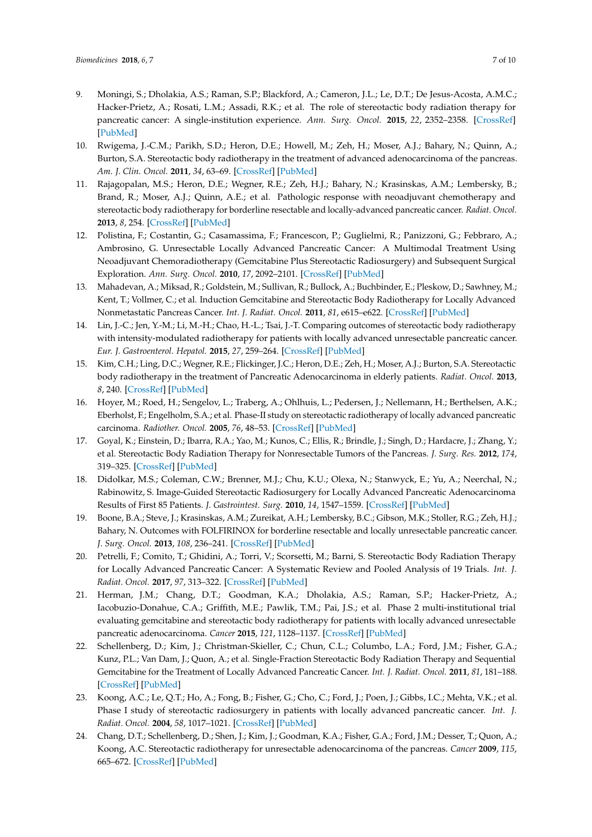- 9. Moningi, S.; Dholakia, A.S.; Raman, S.P.; Blackford, A.; Cameron, J.L.; Le, D.T.; De Jesus-Acosta, A.M.C.; Hacker-Prietz, A.; Rosati, L.M.; Assadi, R.K.; et al. The role of stereotactic body radiation therapy for pancreatic cancer: A single-institution experience. *Ann. Surg. Oncol.* **2015**, *22*, 2352–2358. [\[CrossRef\]](http://dx.doi.org/10.1245/s10434-014-4274-5) [\[PubMed\]](http://www.ncbi.nlm.nih.gov/pubmed/25564157)
- <span id="page-6-0"></span>10. Rwigema, J.-C.M.; Parikh, S.D.; Heron, D.E.; Howell, M.; Zeh, H.; Moser, A.J.; Bahary, N.; Quinn, A.; Burton, S.A. Stereotactic body radiotherapy in the treatment of advanced adenocarcinoma of the pancreas. *Am. J. Clin. Oncol.* **2011**, *34*, 63–69. [\[CrossRef\]](http://dx.doi.org/10.1097/COC.0b013e3181d270b4) [\[PubMed\]](http://www.ncbi.nlm.nih.gov/pubmed/20308870)
- 11. Rajagopalan, M.S.; Heron, D.E.; Wegner, R.E.; Zeh, H.J.; Bahary, N.; Krasinskas, A.M.; Lembersky, B.; Brand, R.; Moser, A.J.; Quinn, A.E.; et al. Pathologic response with neoadjuvant chemotherapy and stereotactic body radiotherapy for borderline resectable and locally-advanced pancreatic cancer. *Radiat. Oncol.* **2013**, *8*, 254. [\[CrossRef\]](http://dx.doi.org/10.1186/1748-717X-8-254) [\[PubMed\]](http://www.ncbi.nlm.nih.gov/pubmed/24175982)
- <span id="page-6-1"></span>12. Polistina, F.; Costantin, G.; Casamassima, F.; Francescon, P.; Guglielmi, R.; Panizzoni, G.; Febbraro, A.; Ambrosino, G. Unresectable Locally Advanced Pancreatic Cancer: A Multimodal Treatment Using Neoadjuvant Chemoradiotherapy (Gemcitabine Plus Stereotactic Radiosurgery) and Subsequent Surgical Exploration. *Ann. Surg. Oncol.* **2010**, *17*, 2092–2101. [\[CrossRef\]](http://dx.doi.org/10.1245/s10434-010-1019-y) [\[PubMed\]](http://www.ncbi.nlm.nih.gov/pubmed/20224860)
- 13. Mahadevan, A.; Miksad, R.; Goldstein, M.; Sullivan, R.; Bullock, A.; Buchbinder, E.; Pleskow, D.; Sawhney, M.; Kent, T.; Vollmer, C.; et al. Induction Gemcitabine and Stereotactic Body Radiotherapy for Locally Advanced Nonmetastatic Pancreas Cancer. *Int. J. Radiat. Oncol.* **2011**, *81*, e615–e622. [\[CrossRef\]](http://dx.doi.org/10.1016/j.ijrobp.2011.04.045) [\[PubMed\]](http://www.ncbi.nlm.nih.gov/pubmed/21658854)
- <span id="page-6-2"></span>14. Lin, J.-C.; Jen, Y.-M.; Li, M.-H.; Chao, H.-L.; Tsai, J.-T. Comparing outcomes of stereotactic body radiotherapy with intensity-modulated radiotherapy for patients with locally advanced unresectable pancreatic cancer. *Eur. J. Gastroenterol. Hepatol.* **2015**, *27*, 259–264. [\[CrossRef\]](http://dx.doi.org/10.1097/MEG.0000000000000283) [\[PubMed\]](http://www.ncbi.nlm.nih.gov/pubmed/25629569)
- 15. Kim, C.H.; Ling, D.C.; Wegner, R.E.; Flickinger, J.C.; Heron, D.E.; Zeh, H.; Moser, A.J.; Burton, S.A. Stereotactic body radiotherapy in the treatment of Pancreatic Adenocarcinoma in elderly patients. *Radiat. Oncol.* **2013**, *8*, 240. [\[CrossRef\]](http://dx.doi.org/10.1186/1748-717X-8-240) [\[PubMed\]](http://www.ncbi.nlm.nih.gov/pubmed/24131503)
- <span id="page-6-3"></span>16. Hoyer, M.; Roed, H.; Sengelov, L.; Traberg, A.; Ohlhuis, L.; Pedersen, J.; Nellemann, H.; Berthelsen, A.K.; Eberholst, F.; Engelholm, S.A.; et al. Phase-II study on stereotactic radiotherapy of locally advanced pancreatic carcinoma. *Radiother. Oncol.* **2005**, *76*, 48–53. [\[CrossRef\]](http://dx.doi.org/10.1016/j.radonc.2004.12.022) [\[PubMed\]](http://www.ncbi.nlm.nih.gov/pubmed/15990186)
- <span id="page-6-4"></span>17. Goyal, K.; Einstein, D.; Ibarra, R.A.; Yao, M.; Kunos, C.; Ellis, R.; Brindle, J.; Singh, D.; Hardacre, J.; Zhang, Y.; et al. Stereotactic Body Radiation Therapy for Nonresectable Tumors of the Pancreas. *J. Surg. Res.* **2012**, *174*, 319–325. [\[CrossRef\]](http://dx.doi.org/10.1016/j.jss.2011.07.044) [\[PubMed\]](http://www.ncbi.nlm.nih.gov/pubmed/21937061)
- 18. Didolkar, M.S.; Coleman, C.W.; Brenner, M.J.; Chu, K.U.; Olexa, N.; Stanwyck, E.; Yu, A.; Neerchal, N.; Rabinowitz, S. Image-Guided Stereotactic Radiosurgery for Locally Advanced Pancreatic Adenocarcinoma Results of First 85 Patients. *J. Gastrointest. Surg.* **2010**, *14*, 1547–1559. [\[CrossRef\]](http://dx.doi.org/10.1007/s11605-010-1323-7) [\[PubMed\]](http://www.ncbi.nlm.nih.gov/pubmed/20839073)
- 19. Boone, B.A.; Steve, J.; Krasinskas, A.M.; Zureikat, A.H.; Lembersky, B.C.; Gibson, M.K.; Stoller, R.G.; Zeh, H.J.; Bahary, N. Outcomes with FOLFIRINOX for borderline resectable and locally unresectable pancreatic cancer. *J. Surg. Oncol.* **2013**, *108*, 236–241. [\[CrossRef\]](http://dx.doi.org/10.1002/jso.23392) [\[PubMed\]](http://www.ncbi.nlm.nih.gov/pubmed/23955427)
- <span id="page-6-6"></span>20. Petrelli, F.; Comito, T.; Ghidini, A.; Torri, V.; Scorsetti, M.; Barni, S. Stereotactic Body Radiation Therapy for Locally Advanced Pancreatic Cancer: A Systematic Review and Pooled Analysis of 19 Trials. *Int. J. Radiat. Oncol.* **2017**, *97*, 313–322. [\[CrossRef\]](http://dx.doi.org/10.1016/j.ijrobp.2016.10.030) [\[PubMed\]](http://www.ncbi.nlm.nih.gov/pubmed/28068239)
- <span id="page-6-5"></span>21. Herman, J.M.; Chang, D.T.; Goodman, K.A.; Dholakia, A.S.; Raman, S.P.; Hacker-Prietz, A.; Iacobuzio-Donahue, C.A.; Griffith, M.E.; Pawlik, T.M.; Pai, J.S.; et al. Phase 2 multi-institutional trial evaluating gemcitabine and stereotactic body radiotherapy for patients with locally advanced unresectable pancreatic adenocarcinoma. *Cancer* **2015**, *121*, 1128–1137. [\[CrossRef\]](http://dx.doi.org/10.1002/cncr.29161) [\[PubMed\]](http://www.ncbi.nlm.nih.gov/pubmed/25538019)
- 22. Schellenberg, D.; Kim, J.; Christman-Skieller, C.; Chun, C.L.; Columbo, L.A.; Ford, J.M.; Fisher, G.A.; Kunz, P.L.; Van Dam, J.; Quon, A.; et al. Single-Fraction Stereotactic Body Radiation Therapy and Sequential Gemcitabine for the Treatment of Locally Advanced Pancreatic Cancer. *Int. J. Radiat. Oncol.* **2011**, *81*, 181–188. [\[CrossRef\]](http://dx.doi.org/10.1016/j.ijrobp.2010.05.006) [\[PubMed\]](http://www.ncbi.nlm.nih.gov/pubmed/21549517)
- 23. Koong, A.C.; Le, Q.T.; Ho, A.; Fong, B.; Fisher, G.; Cho, C.; Ford, J.; Poen, J.; Gibbs, I.C.; Mehta, V.K.; et al. Phase I study of stereotactic radiosurgery in patients with locally advanced pancreatic cancer. *Int. J. Radiat. Oncol.* **2004**, *58*, 1017–1021. [\[CrossRef\]](http://dx.doi.org/10.1016/j.ijrobp.2003.11.004) [\[PubMed\]](http://www.ncbi.nlm.nih.gov/pubmed/15001240)
- 24. Chang, D.T.; Schellenberg, D.; Shen, J.; Kim, J.; Goodman, K.A.; Fisher, G.A.; Ford, J.M.; Desser, T.; Quon, A.; Koong, A.C. Stereotactic radiotherapy for unresectable adenocarcinoma of the pancreas. *Cancer* **2009**, *115*, 665–672. [\[CrossRef\]](http://dx.doi.org/10.1002/cncr.24059) [\[PubMed\]](http://www.ncbi.nlm.nih.gov/pubmed/19117351)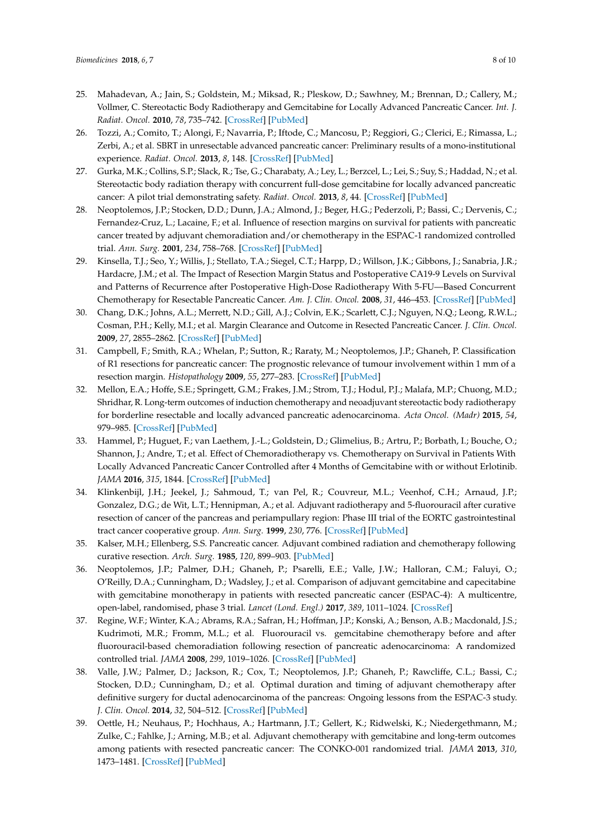- 25. Mahadevan, A.; Jain, S.; Goldstein, M.; Miksad, R.; Pleskow, D.; Sawhney, M.; Brennan, D.; Callery, M.; Vollmer, C. Stereotactic Body Radiotherapy and Gemcitabine for Locally Advanced Pancreatic Cancer. *Int. J. Radiat. Oncol.* **2010**, *78*, 735–742. [\[CrossRef\]](http://dx.doi.org/10.1016/j.ijrobp.2009.08.046) [\[PubMed\]](http://www.ncbi.nlm.nih.gov/pubmed/20171803)
- <span id="page-7-4"></span>26. Tozzi, A.; Comito, T.; Alongi, F.; Navarria, P.; Iftode, C.; Mancosu, P.; Reggiori, G.; Clerici, E.; Rimassa, L.; Zerbi, A.; et al. SBRT in unresectable advanced pancreatic cancer: Preliminary results of a mono-institutional experience. *Radiat. Oncol.* **2013**, *8*, 148. [\[CrossRef\]](http://dx.doi.org/10.1186/1748-717X-8-148) [\[PubMed\]](http://www.ncbi.nlm.nih.gov/pubmed/23799996)
- <span id="page-7-0"></span>27. Gurka, M.K.; Collins, S.P.; Slack, R.; Tse, G.; Charabaty, A.; Ley, L.; Berzcel, L.; Lei, S.; Suy, S.; Haddad, N.; et al. Stereotactic body radiation therapy with concurrent full-dose gemcitabine for locally advanced pancreatic cancer: A pilot trial demonstrating safety. *Radiat. Oncol.* **2013**, *8*, 44. [\[CrossRef\]](http://dx.doi.org/10.1186/1748-717X-8-44) [\[PubMed\]](http://www.ncbi.nlm.nih.gov/pubmed/23452509)
- 28. Neoptolemos, J.P.; Stocken, D.D.; Dunn, J.A.; Almond, J.; Beger, H.G.; Pederzoli, P.; Bassi, C.; Dervenis, C.; Fernandez-Cruz, L.; Lacaine, F.; et al. Influence of resection margins on survival for patients with pancreatic cancer treated by adjuvant chemoradiation and/or chemotherapy in the ESPAC-1 randomized controlled trial. *Ann. Surg.* **2001**, *234*, 758–768. [\[CrossRef\]](http://dx.doi.org/10.1097/00000658-200112000-00007) [\[PubMed\]](http://www.ncbi.nlm.nih.gov/pubmed/11729382)
- 29. Kinsella, T.J.; Seo, Y.; Willis, J.; Stellato, T.A.; Siegel, C.T.; Harpp, D.; Willson, J.K.; Gibbons, J.; Sanabria, J.R.; Hardacre, J.M.; et al. The Impact of Resection Margin Status and Postoperative CA19-9 Levels on Survival and Patterns of Recurrence after Postoperative High-Dose Radiotherapy With 5-FU—Based Concurrent Chemotherapy for Resectable Pancreatic Cancer. *Am. J. Clin. Oncol.* **2008**, *31*, 446–453. [\[CrossRef\]](http://dx.doi.org/10.1097/COC.0b013e318168f6c4) [\[PubMed\]](http://www.ncbi.nlm.nih.gov/pubmed/18838880)
- 30. Chang, D.K.; Johns, A.L.; Merrett, N.D.; Gill, A.J.; Colvin, E.K.; Scarlett, C.J.; Nguyen, N.Q.; Leong, R.W.L.; Cosman, P.H.; Kelly, M.I.; et al. Margin Clearance and Outcome in Resected Pancreatic Cancer. *J. Clin. Oncol.* **2009**, *27*, 2855–2862. [\[CrossRef\]](http://dx.doi.org/10.1200/JCO.2008.20.5104) [\[PubMed\]](http://www.ncbi.nlm.nih.gov/pubmed/19398572)
- <span id="page-7-1"></span>31. Campbell, F.; Smith, R.A.; Whelan, P.; Sutton, R.; Raraty, M.; Neoptolemos, J.P.; Ghaneh, P. Classification of R1 resections for pancreatic cancer: The prognostic relevance of tumour involvement within 1 mm of a resection margin. *Histopathology* **2009**, *55*, 277–283. [\[CrossRef\]](http://dx.doi.org/10.1111/j.1365-2559.2009.03376.x) [\[PubMed\]](http://www.ncbi.nlm.nih.gov/pubmed/19723142)
- <span id="page-7-2"></span>32. Mellon, E.A.; Hoffe, S.E.; Springett, G.M.; Frakes, J.M.; Strom, T.J.; Hodul, P.J.; Malafa, M.P.; Chuong, M.D.; Shridhar, R. Long-term outcomes of induction chemotherapy and neoadjuvant stereotactic body radiotherapy for borderline resectable and locally advanced pancreatic adenocarcinoma. *Acta Oncol. (Madr)* **2015**, *54*, 979–985. [\[CrossRef\]](http://dx.doi.org/10.3109/0284186X.2015.1004367) [\[PubMed\]](http://www.ncbi.nlm.nih.gov/pubmed/25734581)
- <span id="page-7-3"></span>33. Hammel, P.; Huguet, F.; van Laethem, J.-L.; Goldstein, D.; Glimelius, B.; Artru, P.; Borbath, I.; Bouche, O.; Shannon, J.; Andre, T.; et al. Effect of Chemoradiotherapy vs. Chemotherapy on Survival in Patients With Locally Advanced Pancreatic Cancer Controlled after 4 Months of Gemcitabine with or without Erlotinib. *JAMA* **2016**, *315*, 1844. [\[CrossRef\]](http://dx.doi.org/10.1001/jama.2016.4324) [\[PubMed\]](http://www.ncbi.nlm.nih.gov/pubmed/27139057)
- 34. Klinkenbijl, J.H.; Jeekel, J.; Sahmoud, T.; van Pel, R.; Couvreur, M.L.; Veenhof, C.H.; Arnaud, J.P.; Gonzalez, D.G.; de Wit, L.T.; Hennipman, A.; et al. Adjuvant radiotherapy and 5-fluorouracil after curative resection of cancer of the pancreas and periampullary region: Phase III trial of the EORTC gastrointestinal tract cancer cooperative group. *Ann. Surg.* **1999**, *230*, 776. [\[CrossRef\]](http://dx.doi.org/10.1097/00000658-199912000-00006) [\[PubMed\]](http://www.ncbi.nlm.nih.gov/pubmed/10615932)
- 35. Kalser, M.H.; Ellenberg, S.S. Pancreatic cancer. Adjuvant combined radiation and chemotherapy following curative resection. *Arch. Surg.* **1985**, *120*, 899–903. [\[PubMed\]](http://www.ncbi.nlm.nih.gov/pubmed/4015380)
- 36. Neoptolemos, J.P.; Palmer, D.H.; Ghaneh, P.; Psarelli, E.E.; Valle, J.W.; Halloran, C.M.; Faluyi, O.; O'Reilly, D.A.; Cunningham, D.; Wadsley, J.; et al. Comparison of adjuvant gemcitabine and capecitabine with gemcitabine monotherapy in patients with resected pancreatic cancer (ESPAC-4): A multicentre, open-label, randomised, phase 3 trial. *Lancet (Lond. Engl.)* **2017**, *389*, 1011–1024. [\[CrossRef\]](http://dx.doi.org/10.1016/S0140-6736(16)32409-6)
- 37. Regine, W.F.; Winter, K.A.; Abrams, R.A.; Safran, H.; Hoffman, J.P.; Konski, A.; Benson, A.B.; Macdonald, J.S.; Kudrimoti, M.R.; Fromm, M.L.; et al. Fluorouracil vs. gemcitabine chemotherapy before and after fluorouracil-based chemoradiation following resection of pancreatic adenocarcinoma: A randomized controlled trial. *JAMA* **2008**, *299*, 1019–1026. [\[CrossRef\]](http://dx.doi.org/10.1001/jama.299.9.1019) [\[PubMed\]](http://www.ncbi.nlm.nih.gov/pubmed/18319412)
- 38. Valle, J.W.; Palmer, D.; Jackson, R.; Cox, T.; Neoptolemos, J.P.; Ghaneh, P.; Rawcliffe, C.L.; Bassi, C.; Stocken, D.D.; Cunningham, D.; et al. Optimal duration and timing of adjuvant chemotherapy after definitive surgery for ductal adenocarcinoma of the pancreas: Ongoing lessons from the ESPAC-3 study. *J. Clin. Oncol.* **2014**, *32*, 504–512. [\[CrossRef\]](http://dx.doi.org/10.1200/JCO.2013.50.7657) [\[PubMed\]](http://www.ncbi.nlm.nih.gov/pubmed/24419109)
- 39. Oettle, H.; Neuhaus, P.; Hochhaus, A.; Hartmann, J.T.; Gellert, K.; Ridwelski, K.; Niedergethmann, M.; Zulke, C.; Fahlke, J.; Arning, M.B.; et al. Adjuvant chemotherapy with gemcitabine and long-term outcomes among patients with resected pancreatic cancer: The CONKO-001 randomized trial. *JAMA* **2013**, *310*, 1473–1481. [\[CrossRef\]](http://dx.doi.org/10.1001/jama.2013.279201) [\[PubMed\]](http://www.ncbi.nlm.nih.gov/pubmed/24104372)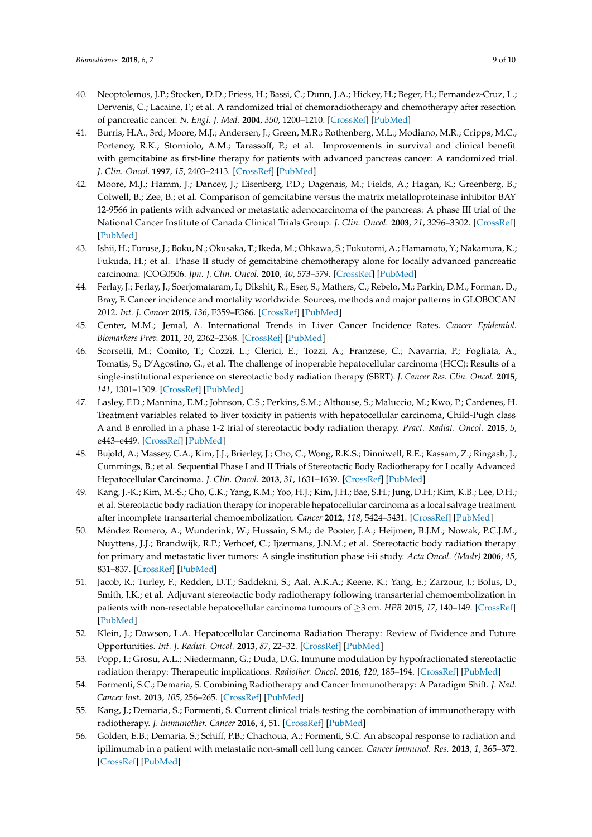- <span id="page-8-0"></span>40. Neoptolemos, J.P.; Stocken, D.D.; Friess, H.; Bassi, C.; Dunn, J.A.; Hickey, H.; Beger, H.; Fernandez-Cruz, L.; Dervenis, C.; Lacaine, F.; et al. A randomized trial of chemoradiotherapy and chemotherapy after resection of pancreatic cancer. *N. Engl. J. Med.* **2004**, *350*, 1200–1210. [\[CrossRef\]](http://dx.doi.org/10.1056/NEJMoa032295) [\[PubMed\]](http://www.ncbi.nlm.nih.gov/pubmed/15028824)
- <span id="page-8-1"></span>41. Burris, H.A., 3rd; Moore, M.J.; Andersen, J.; Green, M.R.; Rothenberg, M.L.; Modiano, M.R.; Cripps, M.C.; Portenoy, R.K.; Storniolo, A.M.; Tarassoff, P.; et al. Improvements in survival and clinical benefit with gemcitabine as first-line therapy for patients with advanced pancreas cancer: A randomized trial. *J. Clin. Oncol.* **1997**, *15*, 2403–2413. [\[CrossRef\]](http://dx.doi.org/10.1200/JCO.1997.15.6.2403) [\[PubMed\]](http://www.ncbi.nlm.nih.gov/pubmed/9196156)
- 42. Moore, M.J.; Hamm, J.; Dancey, J.; Eisenberg, P.D.; Dagenais, M.; Fields, A.; Hagan, K.; Greenberg, B.; Colwell, B.; Zee, B.; et al. Comparison of gemcitabine versus the matrix metalloproteinase inhibitor BAY 12-9566 in patients with advanced or metastatic adenocarcinoma of the pancreas: A phase III trial of the National Cancer Institute of Canada Clinical Trials Group. *J. Clin. Oncol.* **2003**, *21*, 3296–3302. [\[CrossRef\]](http://dx.doi.org/10.1200/JCO.2003.02.098) [\[PubMed\]](http://www.ncbi.nlm.nih.gov/pubmed/12947065)
- <span id="page-8-2"></span>43. Ishii, H.; Furuse, J.; Boku, N.; Okusaka, T.; Ikeda, M.; Ohkawa, S.; Fukutomi, A.; Hamamoto, Y.; Nakamura, K.; Fukuda, H.; et al. Phase II study of gemcitabine chemotherapy alone for locally advanced pancreatic carcinoma: JCOG0506. *Jpn. J. Clin. Oncol.* **2010**, *40*, 573–579. [\[CrossRef\]](http://dx.doi.org/10.1093/jjco/hyq011) [\[PubMed\]](http://www.ncbi.nlm.nih.gov/pubmed/20185458)
- <span id="page-8-3"></span>44. Ferlay, J.; Ferlay, J.; Soerjomataram, I.; Dikshit, R.; Eser, S.; Mathers, C.; Rebelo, M.; Parkin, D.M.; Forman, D.; Bray, F. Cancer incidence and mortality worldwide: Sources, methods and major patterns in GLOBOCAN 2012. *Int. J. Cancer* **2015**, *136*, E359–E386. [\[CrossRef\]](http://dx.doi.org/10.1002/ijc.29210) [\[PubMed\]](http://www.ncbi.nlm.nih.gov/pubmed/25220842)
- <span id="page-8-4"></span>45. Center, M.M.; Jemal, A. International Trends in Liver Cancer Incidence Rates. *Cancer Epidemiol. Biomarkers Prev.* **2011**, *20*, 2362–2368. [\[CrossRef\]](http://dx.doi.org/10.1158/1055-9965.EPI-11-0643) [\[PubMed\]](http://www.ncbi.nlm.nih.gov/pubmed/21921256)
- <span id="page-8-5"></span>46. Scorsetti, M.; Comito, T.; Cozzi, L.; Clerici, E.; Tozzi, A.; Franzese, C.; Navarria, P.; Fogliata, A.; Tomatis, S.; D'Agostino, G.; et al. The challenge of inoperable hepatocellular carcinoma (HCC): Results of a single-institutional experience on stereotactic body radiation therapy (SBRT). *J. Cancer Res. Clin. Oncol.* **2015**, *141*, 1301–1309. [\[CrossRef\]](http://dx.doi.org/10.1007/s00432-015-1929-y) [\[PubMed\]](http://www.ncbi.nlm.nih.gov/pubmed/25644863)
- 47. Lasley, F.D.; Mannina, E.M.; Johnson, C.S.; Perkins, S.M.; Althouse, S.; Maluccio, M.; Kwo, P.; Cardenes, H. Treatment variables related to liver toxicity in patients with hepatocellular carcinoma, Child-Pugh class A and B enrolled in a phase 1-2 trial of stereotactic body radiation therapy. *Pract. Radiat. Oncol.* **2015**, *5*, e443–e449. [\[CrossRef\]](http://dx.doi.org/10.1016/j.prro.2015.02.007) [\[PubMed\]](http://www.ncbi.nlm.nih.gov/pubmed/25899219)
- <span id="page-8-7"></span>48. Bujold, A.; Massey, C.A.; Kim, J.J.; Brierley, J.; Cho, C.; Wong, R.K.S.; Dinniwell, R.E.; Kassam, Z.; Ringash, J.; Cummings, B.; et al. Sequential Phase I and II Trials of Stereotactic Body Radiotherapy for Locally Advanced Hepatocellular Carcinoma. *J. Clin. Oncol.* **2013**, *31*, 1631–1639. [\[CrossRef\]](http://dx.doi.org/10.1200/JCO.2012.44.1659) [\[PubMed\]](http://www.ncbi.nlm.nih.gov/pubmed/23547075)
- 49. Kang, J.-K.; Kim, M.-S.; Cho, C.K.; Yang, K.M.; Yoo, H.J.; Kim, J.H.; Bae, S.H.; Jung, D.H.; Kim, K.B.; Lee, D.H.; et al. Stereotactic body radiation therapy for inoperable hepatocellular carcinoma as a local salvage treatment after incomplete transarterial chemoembolization. *Cancer* **2012**, *118*, 5424–5431. [\[CrossRef\]](http://dx.doi.org/10.1002/cncr.27533) [\[PubMed\]](http://www.ncbi.nlm.nih.gov/pubmed/22570179)
- <span id="page-8-6"></span>50. Méndez Romero, A.; Wunderink, W.; Hussain, S.M.; de Pooter, J.A.; Heijmen, B.J.M.; Nowak, P.C.J.M.; Nuyttens, J.J.; Brandwijk, R.P.; Verhoef, C.; Ijzermans, J.N.M.; et al. Stereotactic body radiation therapy for primary and metastatic liver tumors: A single institution phase i-ii study. *Acta Oncol. (Madr)* **2006**, *45*, 831–837. [\[CrossRef\]](http://dx.doi.org/10.1080/02841860600897934) [\[PubMed\]](http://www.ncbi.nlm.nih.gov/pubmed/16982547)
- <span id="page-8-8"></span>51. Jacob, R.; Turley, F.; Redden, D.T.; Saddekni, S.; Aal, A.K.A.; Keene, K.; Yang, E.; Zarzour, J.; Bolus, D.; Smith, J.K.; et al. Adjuvant stereotactic body radiotherapy following transarterial chemoembolization in patients with non-resectable hepatocellular carcinoma tumours of ≥3 cm. *HPB* **2015**, *17*, 140–149. [\[CrossRef\]](http://dx.doi.org/10.1111/hpb.12331) [\[PubMed\]](http://www.ncbi.nlm.nih.gov/pubmed/25186290)
- <span id="page-8-9"></span>52. Klein, J.; Dawson, L.A. Hepatocellular Carcinoma Radiation Therapy: Review of Evidence and Future Opportunities. *Int. J. Radiat. Oncol.* **2013**, *87*, 22–32. [\[CrossRef\]](http://dx.doi.org/10.1016/j.ijrobp.2012.08.043) [\[PubMed\]](http://www.ncbi.nlm.nih.gov/pubmed/23219567)
- <span id="page-8-10"></span>53. Popp, I.; Grosu, A.L.; Niedermann, G.; Duda, D.G. Immune modulation by hypofractionated stereotactic radiation therapy: Therapeutic implications. *Radiother. Oncol.* **2016**, *120*, 185–194. [\[CrossRef\]](http://dx.doi.org/10.1016/j.radonc.2016.07.013) [\[PubMed\]](http://www.ncbi.nlm.nih.gov/pubmed/27495145)
- <span id="page-8-11"></span>54. Formenti, S.C.; Demaria, S. Combining Radiotherapy and Cancer Immunotherapy: A Paradigm Shift. *J. Natl. Cancer Inst.* **2013**, *105*, 256–265. [\[CrossRef\]](http://dx.doi.org/10.1093/jnci/djs629) [\[PubMed\]](http://www.ncbi.nlm.nih.gov/pubmed/23291374)
- 55. Kang, J.; Demaria, S.; Formenti, S. Current clinical trials testing the combination of immunotherapy with radiotherapy. *J. Immunother. Cancer* **2016**, *4*, 51. [\[CrossRef\]](http://dx.doi.org/10.1186/s40425-016-0156-7) [\[PubMed\]](http://www.ncbi.nlm.nih.gov/pubmed/27660705)
- 56. Golden, E.B.; Demaria, S.; Schiff, P.B.; Chachoua, A.; Formenti, S.C. An abscopal response to radiation and ipilimumab in a patient with metastatic non-small cell lung cancer. *Cancer Immunol. Res.* **2013**, *1*, 365–372. [\[CrossRef\]](http://dx.doi.org/10.1158/2326-6066.CIR-13-0115) [\[PubMed\]](http://www.ncbi.nlm.nih.gov/pubmed/24563870)